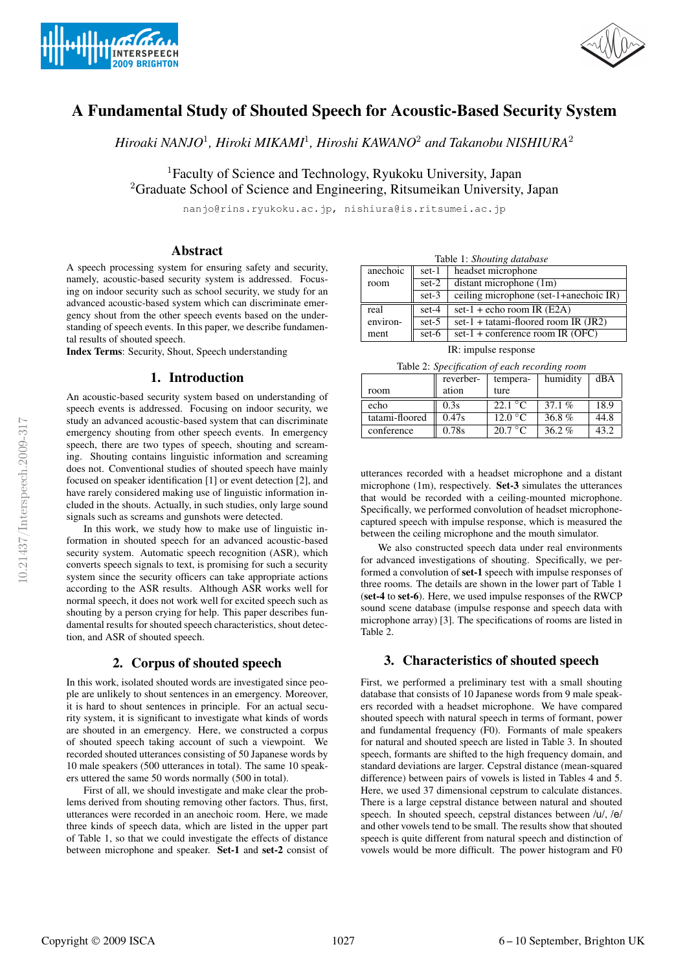



# A Fundamental Study of Shouted Speech for Acoustic-Based Security System

*Hiroaki NANJO*<sup>1</sup>*, Hiroki MIKAMI*<sup>1</sup>*, Hiroshi KAWANO*<sup>2</sup> *and Takanobu NISHIURA*<sup>2</sup>

<sup>1</sup>Faculty of Science and Technology, Ryukoku University, Japan <sup>2</sup>Graduate School of Science and Engineering, Ritsumeikan University, Japan

nanjo@rins.ryukoku.ac.jp, nishiura@is.ritsumei.ac.jp

### Abstract

A speech processing system for ensuring safety and security, namely, acoustic-based security system is addressed. Focusing on indoor security such as school security, we study for an advanced acoustic-based system which can discriminate emergency shout from the other speech events based on the understanding of speech events. In this paper, we describe fundamental results of shouted speech.

Index Terms: Security, Shout, Speech understanding

### 1. Introduction

An acoustic-based security system based on understanding of speech events is addressed. Focusing on indoor security, we study an advanced acoustic-based system that can discriminate emergency shouting from other speech events. In emergency speech, there are two types of speech, shouting and screaming. Shouting contains linguistic information and screaming does not. Conventional studies of shouted speech have mainly focused on speaker identification [1] or event detection [2], and have rarely considered making use of linguistic information included in the shouts. Actually, in such studies, only large sound signals such as screams and gunshots were detected.

In this work, we study how to make use of linguistic information in shouted speech for an advanced acoustic-based security system. Automatic speech recognition (ASR), which converts speech signals to text, is promising for such a security system since the security officers can take appropriate actions according to the ASR results. Although ASR works well for normal speech, it does not work well for excited speech such as shouting by a person crying for help. This paper describes fundamental results for shouted speech characteristics, shout detection, and ASR of shouted speech.

# 2. Corpus of shouted speech

In this work, isolated shouted words are investigated since people are unlikely to shout sentences in an emergency. Moreover, it is hard to shout sentences in principle. For an actual security system, it is significant to investigate what kinds of words are shouted in an emergency. Here, we constructed a corpus of shouted speech taking account of such a viewpoint. We recorded shouted utterances consisting of 50 Japanese words by 10 male speakers (500 utterances in total). The same 10 speakers uttered the same 50 words normally (500 in total).

First of all, we should investigate and make clear the problems derived from shouting removing other factors. Thus, first, utterances were recorded in an anechoic room. Here, we made three kinds of speech data, which are listed in the upper part of Table 1, so that we could investigate the effects of distance between microphone and speaker. Set-1 and set-2 consist of

| Table 1: Shouting database |         |                                        |  |  |
|----------------------------|---------|----------------------------------------|--|--|
| anechoic                   | set-1   | headset microphone                     |  |  |
| room                       | $set-2$ | distant microphone $(1m)$              |  |  |
|                            | $set-3$ | ceiling microphone (set-1+anechoic IR) |  |  |
| real                       | set-4   | set-1 + echo room IR $(E2A)$           |  |  |
| environ-                   | $set-5$ | set-1 + tatami-floored room IR $(JR2)$ |  |  |
| ment                       | set-6   | set-1 + conference room IR $(OFC)$     |  |  |

IR: impulse response

Table 2: *Specification of each recording room*

|                | reverber- | tempera-         | humidity | dBA  |
|----------------|-----------|------------------|----------|------|
| room           | ation     | ture             |          |      |
| echo           | 0.3s      | 22.1 °C          | 37.1 $%$ | 18.9 |
| tatami-floored | 0.47s     | $12.0\text{ °C}$ | 36.8%    | 44.8 |
| conference     | 0.78s     | $20.7\degree C$  | $36.2\%$ | 43.2 |

utterances recorded with a headset microphone and a distant microphone (1m), respectively. Set-3 simulates the utterances that would be recorded with a ceiling-mounted microphone. Specifically, we performed convolution of headset microphonecaptured speech with impulse response, which is measured the between the ceiling microphone and the mouth simulator.

We also constructed speech data under real environments for advanced investigations of shouting. Specifically, we performed a convolution of set-1 speech with impulse responses of three rooms. The details are shown in the lower part of Table 1 (set-4 to set-6). Here, we used impulse responses of the RWCP sound scene database (impulse response and speech data with microphone array) [3]. The specifications of rooms are listed in Table 2.

# 3. Characteristics of shouted speech

First, we performed a preliminary test with a small shouting database that consists of 10 Japanese words from 9 male speakers recorded with a headset microphone. We have compared shouted speech with natural speech in terms of formant, power and fundamental frequency (F0). Formants of male speakers for natural and shouted speech are listed in Table 3. In shouted speech, formants are shifted to the high frequency domain, and standard deviations are larger. Cepstral distance (mean-squared difference) between pairs of vowels is listed in Tables 4 and 5. Here, we used 37 dimensional cepstrum to calculate distances. There is a large cepstral distance between natural and shouted speech. In shouted speech, cepstral distances between /u/, /e/ and other vowels tend to be small. The results show that shouted speech is quite different from natural speech and distinction of vowels would be more difficult. The power histogram and F0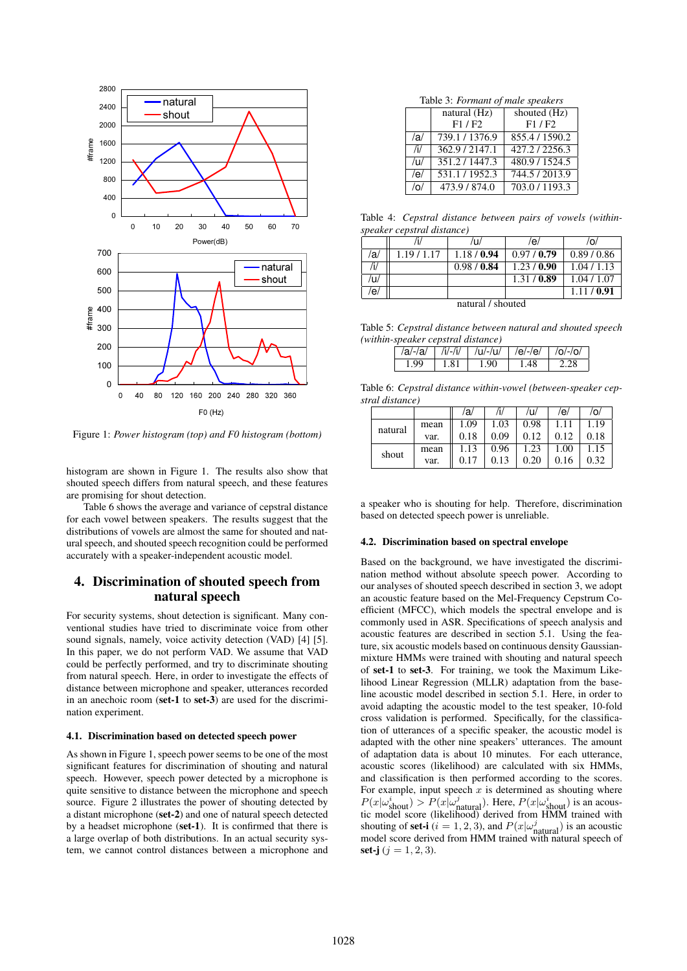

Figure 1: *Power histogram (top) and F0 histogram (bottom)*

histogram are shown in Figure 1. The results also show that shouted speech differs from natural speech, and these features are promising for shout detection.

Table 6 shows the average and variance of cepstral distance for each vowel between speakers. The results suggest that the distributions of vowels are almost the same for shouted and natural speech, and shouted speech recognition could be performed accurately with a speaker-independent acoustic model.

# 4. Discrimination of shouted speech from natural speech

For security systems, shout detection is significant. Many conventional studies have tried to discriminate voice from other sound signals, namely, voice activity detection (VAD) [4] [5]. In this paper, we do not perform VAD. We assume that VAD could be perfectly performed, and try to discriminate shouting from natural speech. Here, in order to investigate the effects of distance between microphone and speaker, utterances recorded in an anechoic room (set-1 to set-3) are used for the discrimination experiment.

#### 4.1. Discrimination based on detected speech power

As shown in Figure 1, speech power seems to be one of the most significant features for discrimination of shouting and natural speech. However, speech power detected by a microphone is quite sensitive to distance between the microphone and speech source. Figure 2 illustrates the power of shouting detected by a distant microphone (set-2) and one of natural speech detected by a headset microphone (set-1). It is confirmed that there is a large overlap of both distributions. In an actual security system, we cannot control distances between a microphone and

| Table 3: Formant of male speakers |  |  |
|-----------------------------------|--|--|
|-----------------------------------|--|--|

|            | natural (Hz)   | shouted (Hz)                |
|------------|----------------|-----------------------------|
|            | F1 / F2        | F1/F2                       |
| /a/        | 739.1 / 1376.9 | 855.4/1590.2                |
| /i/        | 362.9/2147.1   | $\overline{427.2}$ / 2256.3 |
| /u/        | 351.2/1447.3   | 480.9 / 1524.5              |
| /e/        | 531.1/1952.3   | 744.5 / 2013.9              |
| $\sqrt{2}$ | 473.9 / 874.0  | 703.0/1193.3                |

Table 4: *Cepstral distance between pairs of vowels (withinspeaker cepstral distance)*

|                   |           | /u/       | /e/       | /O/       |  |
|-------------------|-----------|-----------|-----------|-----------|--|
| /a                | 1.19/1.17 | 1.18/0.94 | 0.97/0.79 | 0.89/0.86 |  |
| /i/               |           | 0.98/0.84 | 1.23/0.90 | 1.04/1.13 |  |
| /u/               |           |           | 1.31/0.89 | 1.04/1.07 |  |
| /e/               |           |           |           | 1.11/0.91 |  |
| natural / shouted |           |           |           |           |  |

Table 5: *Cepstral distance between natural and shouted speech (within-speaker cepstral distance)*

|      |         | /a/-/a/   /i/-/i/   /u/-/u/   /e/-/e/   /o/-/o/ |      |  |
|------|---------|-------------------------------------------------|------|--|
| 1.99 | $-1.81$ | 1.90                                            | 1.48 |  |

Table 6: *Cepstral distance within-vowel (between-speaker cepstral distance)*

|         |      | /a/  | /i/  | /u/  | /e/  | /٥/  |
|---------|------|------|------|------|------|------|
| natural | mean | 1.09 | 1.03 | 0.98 | 1.11 | 1.19 |
|         | var. | 0.18 | 0.09 | 0.12 | 0.12 | 0.18 |
| shout   | mean | 1.13 | 0.96 | 1.23 | 1.00 | 1.15 |
|         | var. | 0.17 | 0.13 | 0.20 | 0.16 | 0.32 |

a speaker who is shouting for help. Therefore, discrimination based on detected speech power is unreliable.

#### 4.2. Discrimination based on spectral envelope

Based on the background, we have investigated the discrimination method without absolute speech power. According to our analyses of shouted speech described in section 3, we adopt an acoustic feature based on the Mel-Frequency Cepstrum Coefficient (MFCC), which models the spectral envelope and is commonly used in ASR. Specifications of speech analysis and acoustic features are described in section 5.1. Using the feature, six acoustic models based on continuous density Gaussianmixture HMMs were trained with shouting and natural speech of set-1 to set-3. For training, we took the Maximum Likelihood Linear Regression (MLLR) adaptation from the baseline acoustic model described in section 5.1. Here, in order to avoid adapting the acoustic model to the test speaker, 10-fold cross validation is performed. Specifically, for the classification of utterances of a specific speaker, the acoustic model is adapted with the other nine speakers' utterances. The amount of adaptation data is about 10 minutes. For each utterance, acoustic scores (likelihood) are calculated with six HMMs, and classification is then performed according to the scores. For example, input speech  $x$  is determined as shouting where  $P(x|\omega_{\text{shout}}^i) > P(x|\omega_{\text{shunt}}^j)$ . Here,  $P(x|\omega_{\text{shout}}^i)$  is an acoustic model score (likelihood) derived from HMM trained with shouting of **set-i**  $(i = 1, 2, 3)$ , and  $P(x | \omega_{\text{natural}}^j)$  is an acoustic model score derived from HMM trained with natural speech of set-j  $(j = 1, 2, 3)$ .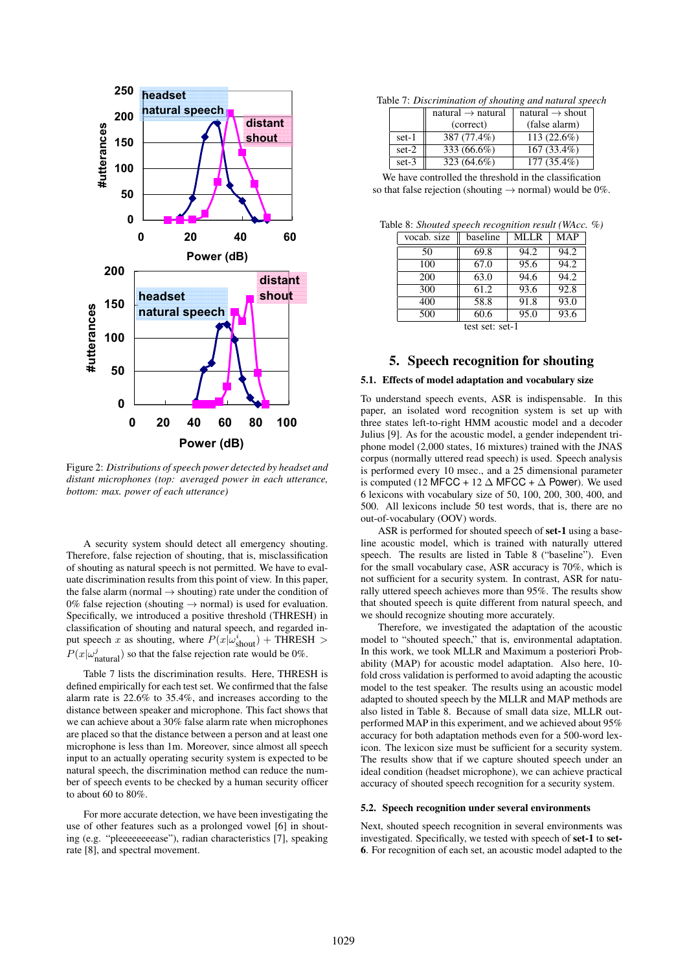

Figure 2: *Distributions of speech power detected by headset and distant microphones (top: averaged power in each utterance, bottom: max. power of each utterance)*

A security system should detect all emergency shouting. Therefore, false rejection of shouting, that is, misclassification of shouting as natural speech is not permitted. We have to evaluate discrimination results from this point of view. In this paper, the false alarm (normal  $\rightarrow$  shouting) rate under the condition of 0% false rejection (shouting  $\rightarrow$  normal) is used for evaluation. Specifically, we introduced a positive threshold (THRESH) in classification of shouting and natural speech, and regarded input speech x as shouting, where  $P(x|\omega_{\text{shout}}^i)$  + THRESH >  $P(x|\omega_{\text{natural}}^j)$  so that the false rejection rate would be 0%.

Table 7 lists the discrimination results. Here, THRESH is defined empirically for each test set. We confirmed that the false alarm rate is 22.6% to 35.4%, and increases according to the distance between speaker and microphone. This fact shows that we can achieve about a 30% false alarm rate when microphones are placed so that the distance between a person and at least one microphone is less than 1m. Moreover, since almost all speech input to an actually operating security system is expected to be natural speech, the discrimination method can reduce the number of speech events to be checked by a human security officer to about 60 to 80%.

For more accurate detection, we have been investigating the use of other features such as a prolonged vowel [6] in shouting (e.g. "pleeeeeeeease"), radian characteristics [7], speaking rate [8], and spectral movement.

| Table 7: Discrimination of shouting and natural speech |  |  |  |  |  |
|--------------------------------------------------------|--|--|--|--|--|
|--------------------------------------------------------|--|--|--|--|--|

|         | natural $\rightarrow$ natural | natural $\rightarrow$ shout |
|---------|-------------------------------|-----------------------------|
|         | (correct)                     | (false alarm)               |
| set-1   | 387 (77.4%)                   | $113(22.6\%)$               |
| $set-2$ | 333 (66.6%)                   | $167(33.4\%)$               |
| $set-3$ | 323 (64.6%)                   | $177(35.4\%)$               |

| We have controlled the threshold in the classification               |  |  |
|----------------------------------------------------------------------|--|--|
| so that false rejection (shouting $\rightarrow$ normal) would be 0%. |  |  |

| Table 8: Shouted speech recognition result (WAcc. %) |  |  |  |
|------------------------------------------------------|--|--|--|
|------------------------------------------------------|--|--|--|

| vocab. size     | baseline | <b>MLLR</b> | <b>MAP</b> |  |  |
|-----------------|----------|-------------|------------|--|--|
| 50              | 69.8     | 94.2        | 94.2       |  |  |
| 100             | 67.0     | 95.6        | 94.2       |  |  |
| 200             | 63.0     | 94.6        | 94.2       |  |  |
| 300             | 61.2     | 93.6        | 92.8       |  |  |
| 400             | 58.8     | 91.8        | 93.0       |  |  |
| 500             | 60.6     | 95.0        | 93.6       |  |  |
| test set: set-1 |          |             |            |  |  |

### 5. Speech recognition for shouting

#### 5.1. Effects of model adaptation and vocabulary size

To understand speech events, ASR is indispensable. In this paper, an isolated word recognition system is set up with three states left-to-right HMM acoustic model and a decoder Julius [9]. As for the acoustic model, a gender independent triphone model (2,000 states, 16 mixtures) trained with the JNAS corpus (normally uttered read speech) is used. Speech analysis is performed every 10 msec., and a 25 dimensional parameter is computed (12 MFCC + 12  $\Delta$  MFCC +  $\Delta$  Power). We used 6 lexicons with vocabulary size of 50, 100, 200, 300, 400, and 500. All lexicons include 50 test words, that is, there are no out-of-vocabulary (OOV) words.

ASR is performed for shouted speech of set-1 using a baseline acoustic model, which is trained with naturally uttered speech. The results are listed in Table 8 ("baseline"). Even for the small vocabulary case, ASR accuracy is 70%, which is not sufficient for a security system. In contrast, ASR for naturally uttered speech achieves more than 95%. The results show that shouted speech is quite different from natural speech, and we should recognize shouting more accurately.

Therefore, we investigated the adaptation of the acoustic model to "shouted speech," that is, environmental adaptation. In this work, we took MLLR and Maximum a posteriori Probability (MAP) for acoustic model adaptation. Also here, 10 fold cross validation is performed to avoid adapting the acoustic model to the test speaker. The results using an acoustic model adapted to shouted speech by the MLLR and MAP methods are also listed in Table 8. Because of small data size, MLLR outperformed MAP in this experiment, and we achieved about 95% accuracy for both adaptation methods even for a 500-word lexicon. The lexicon size must be sufficient for a security system. The results show that if we capture shouted speech under an ideal condition (headset microphone), we can achieve practical accuracy of shouted speech recognition for a security system.

#### 5.2. Speech recognition under several environments

Next, shouted speech recognition in several environments was investigated. Specifically, we tested with speech of set-1 to set-6. For recognition of each set, an acoustic model adapted to the